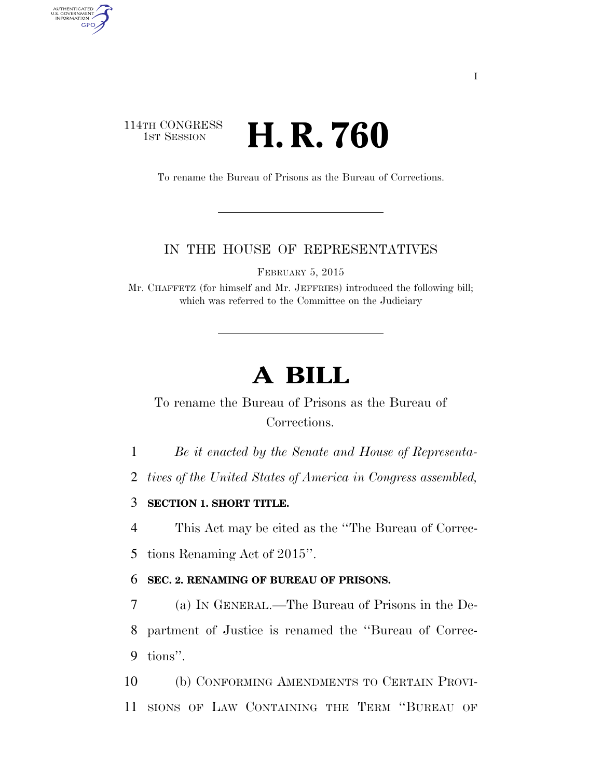## 114TH CONGRESS **1st Session H. R. 760**

AUTHENTICATED<br>U.S. GOVERNMENT<br>INFORMATION GPO

To rename the Bureau of Prisons as the Bureau of Corrections.

## IN THE HOUSE OF REPRESENTATIVES

FEBRUARY 5, 2015

Mr. CHAFFETZ (for himself and Mr. JEFFRIES) introduced the following bill; which was referred to the Committee on the Judiciary

## **A BILL**

To rename the Bureau of Prisons as the Bureau of Corrections.

1 *Be it enacted by the Senate and House of Representa-*

2 *tives of the United States of America in Congress assembled,* 

3 **SECTION 1. SHORT TITLE.** 

4 This Act may be cited as the ''The Bureau of Correc-5 tions Renaming Act of 2015''.

## 6 **SEC. 2. RENAMING OF BUREAU OF PRISONS.**

7 (a) IN GENERAL.—The Bureau of Prisons in the De-8 partment of Justice is renamed the ''Bureau of Correc-9 tions''.

10 (b) CONFORMING AMENDMENTS TO CERTAIN PROVI-11 SIONS OF LAW CONTAINING THE TERM ''BUREAU OF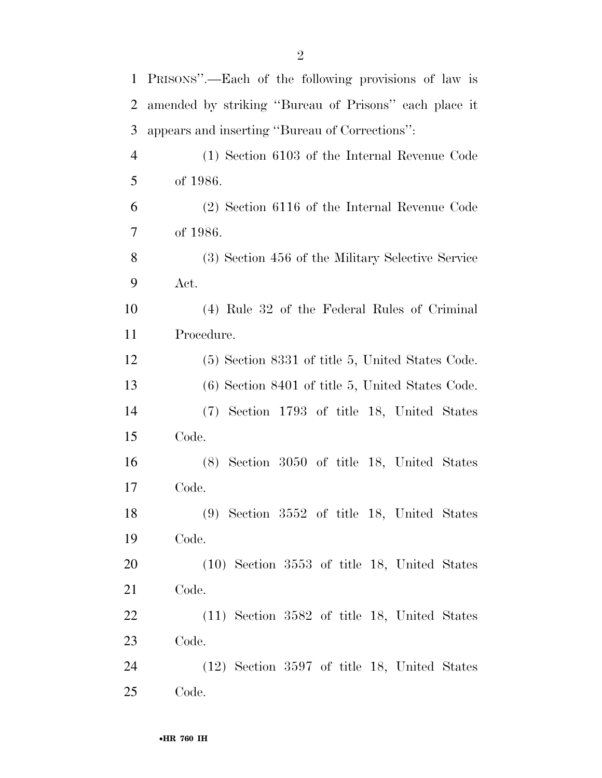| $\mathbf{1}$ | PRISONS".—Each of the following provisions of law is  |
|--------------|-------------------------------------------------------|
| 2            | amended by striking "Bureau of Prisons" each place it |
| 3            | appears and inserting "Bureau of Corrections":        |
| 4            | (1) Section 6103 of the Internal Revenue Code         |
| 5            | of 1986.                                              |
| 6            | $(2)$ Section 6116 of the Internal Revenue Code       |
| $\tau$       | of 1986.                                              |
| 8            | (3) Section 456 of the Military Selective Service     |
| 9            | Act.                                                  |
| 10           | (4) Rule 32 of the Federal Rules of Criminal          |
| 11           | Procedure.                                            |
| 12           | (5) Section 8331 of title 5, United States Code.      |
| 13           | $(6)$ Section 8401 of title 5, United States Code.    |
| 14           | (7) Section 1793 of title 18, United States           |
| 15           | Code.                                                 |
| 16           | $(8)$ Section 3050 of title 18, United States         |
| 17           | Code.                                                 |
| 18           | (9) Section 3552 of title 18, United States           |
| 19           | Code.                                                 |
| 20           | $(10)$ Section 3553 of title 18, United States        |
| 21           | Code.                                                 |
| 22           | $(11)$ Section 3582 of title 18, United States        |
| 23           | Code.                                                 |
| 24           | $(12)$ Section 3597 of title 18, United States        |

Code.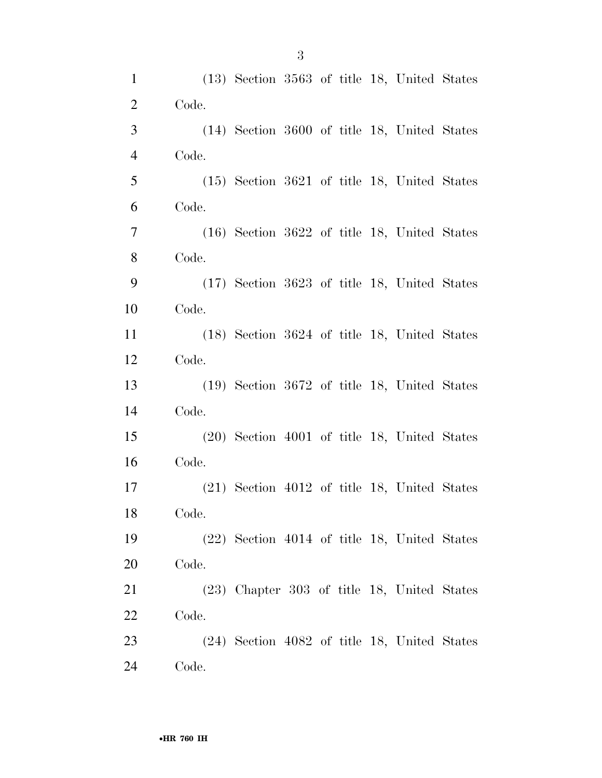| $\mathbf{1}$   |       | $(13)$ Section 3563 of title 18, United States |  |  |  |
|----------------|-------|------------------------------------------------|--|--|--|
| $\overline{2}$ | Code. |                                                |  |  |  |
| 3              |       | (14) Section 3600 of title 18, United States   |  |  |  |
| $\overline{4}$ | Code. |                                                |  |  |  |
| 5              |       | $(15)$ Section 3621 of title 18, United States |  |  |  |
| 6              | Code. |                                                |  |  |  |
| $\overline{7}$ |       | $(16)$ Section 3622 of title 18, United States |  |  |  |
| $8\,$          | Code. |                                                |  |  |  |
| 9              |       | (17) Section 3623 of title 18, United States   |  |  |  |
| 10             | Code. |                                                |  |  |  |
| 11             |       | $(18)$ Section 3624 of title 18, United States |  |  |  |
| 12             | Code. |                                                |  |  |  |
| 13             |       | $(19)$ Section 3672 of title 18, United States |  |  |  |
| 14             | Code. |                                                |  |  |  |
| 15             |       | $(20)$ Section 4001 of title 18, United States |  |  |  |
| 16             | Code. |                                                |  |  |  |
| 17             |       | $(21)$ Section 4012 of title 18, United States |  |  |  |
| 18             | Code. |                                                |  |  |  |
| 19             |       | $(22)$ Section 4014 of title 18, United States |  |  |  |
| 20             | Code. |                                                |  |  |  |
| 21             |       | (23) Chapter 303 of title 18, United States    |  |  |  |
| 22             | Code. |                                                |  |  |  |
| 23             |       | $(24)$ Section 4082 of title 18, United States |  |  |  |
| 24             | Code. |                                                |  |  |  |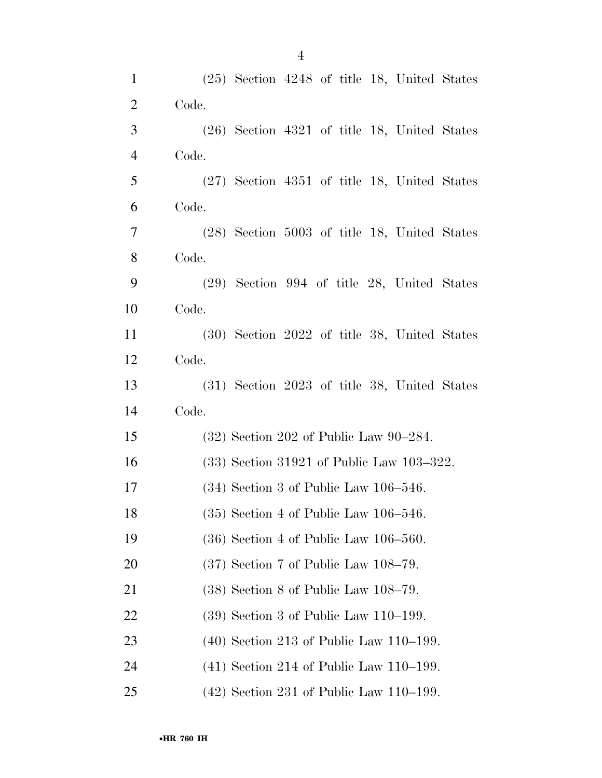| $\mathbf{1}$   | $(25)$ Section 4248 of title 18, United States |
|----------------|------------------------------------------------|
| $\overline{2}$ | Code.                                          |
| 3              | $(26)$ Section 4321 of title 18, United States |
| $\overline{4}$ | Code.                                          |
| 5              | $(27)$ Section 4351 of title 18, United States |
| 6              | Code.                                          |
| 7              | $(28)$ Section 5003 of title 18, United States |
| 8              | Code.                                          |
| 9              | $(29)$ Section 994 of title 28, United States  |
| 10             | Code.                                          |
| 11             | (30) Section 2022 of title 38, United States   |
| 12             | Code.                                          |
| 13             | (31) Section 2023 of title 38, United States   |
| 14             | Code.                                          |
| 15             | $(32)$ Section 202 of Public Law 90–284.       |
| 16             | $(33)$ Section 31921 of Public Law 103-322.    |
| 17             | $(34)$ Section 3 of Public Law 106-546.        |
| 18             | $(35)$ Section 4 of Public Law 106-546.        |
| 19             | $(36)$ Section 4 of Public Law 106–560.        |
| 20             | $(37)$ Section 7 of Public Law 108-79.         |
| 21             | $(38)$ Section 8 of Public Law $108-79$ .      |
| 22             | $(39)$ Section 3 of Public Law 110–199.        |
| 23             | $(40)$ Section 213 of Public Law 110–199.      |
| 24             | $(41)$ Section 214 of Public Law 110–199.      |
| 25             | $(42)$ Section 231 of Public Law 110–199.      |